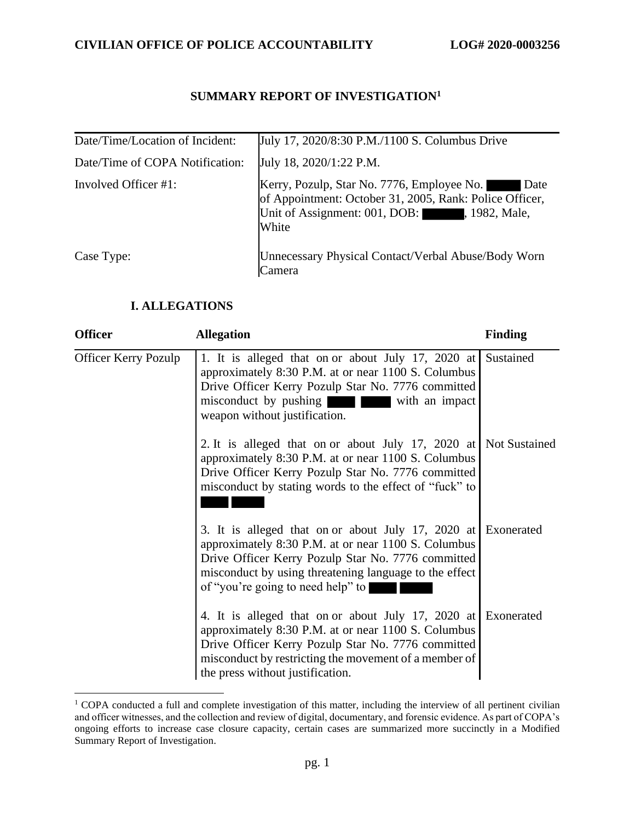## **SUMMARY REPORT OF INVESTIGATION<sup>1</sup>**

| Date/Time/Location of Incident: | July 17, 2020/8:30 P.M./1100 S. Columbus Drive                                                                                                                                |
|---------------------------------|-------------------------------------------------------------------------------------------------------------------------------------------------------------------------------|
| Date/Time of COPA Notification: | July 18, 2020/1:22 P.M.                                                                                                                                                       |
| Involved Officer #1:            | Kerry, Pozulp, Star No. 7776, Employee No. Date<br>of Appointment: October 31, 2005, Rank: Police Officer,<br>Date<br>Unit of Assignment: 001, DOB:<br>, 1982, Male,<br>White |
| Case Type:                      | Unnecessary Physical Contact/Verbal Abuse/Body Worn<br>Camera                                                                                                                 |

## **I. ALLEGATIONS**

| <b>Officer</b>              | <b>Allegation</b>                                                                                                                                                                                                                                                         | <b>Finding</b>       |
|-----------------------------|---------------------------------------------------------------------------------------------------------------------------------------------------------------------------------------------------------------------------------------------------------------------------|----------------------|
| <b>Officer Kerry Pozulp</b> | 1. It is alleged that on or about July 17, 2020 at<br>approximately 8:30 P.M. at or near 1100 S. Columbus<br>Drive Officer Kerry Pozulp Star No. 7776 committed<br>misconduct by pushing with an impact<br>weapon without justification.                                  | Sustained            |
|                             | 2. It is alleged that on or about July 17, 2020 at<br>approximately 8:30 P.M. at or near 1100 S. Columbus<br>Drive Officer Kerry Pozulp Star No. 7776 committed<br>misconduct by stating words to the effect of "fuck" to                                                 | <b>Not Sustained</b> |
|                             | 3. It is alleged that on or about July 17, 2020 at Exonerated<br>approximately 8:30 P.M. at or near 1100 S. Columbus<br>Drive Officer Kerry Pozulp Star No. 7776 committed<br>misconduct by using threatening language to the effect<br>of "you're going to need help" to |                      |
|                             | 4. It is alleged that on or about July 17, 2020 at Exonerated<br>approximately 8:30 P.M. at or near 1100 S. Columbus<br>Drive Officer Kerry Pozulp Star No. 7776 committed<br>misconduct by restricting the movement of a member of<br>the press without justification.   |                      |

<sup>&</sup>lt;sup>1</sup> COPA conducted a full and complete investigation of this matter, including the interview of all pertinent civilian and officer witnesses, and the collection and review of digital, documentary, and forensic evidence. As part of COPA's ongoing efforts to increase case closure capacity, certain cases are summarized more succinctly in a Modified Summary Report of Investigation.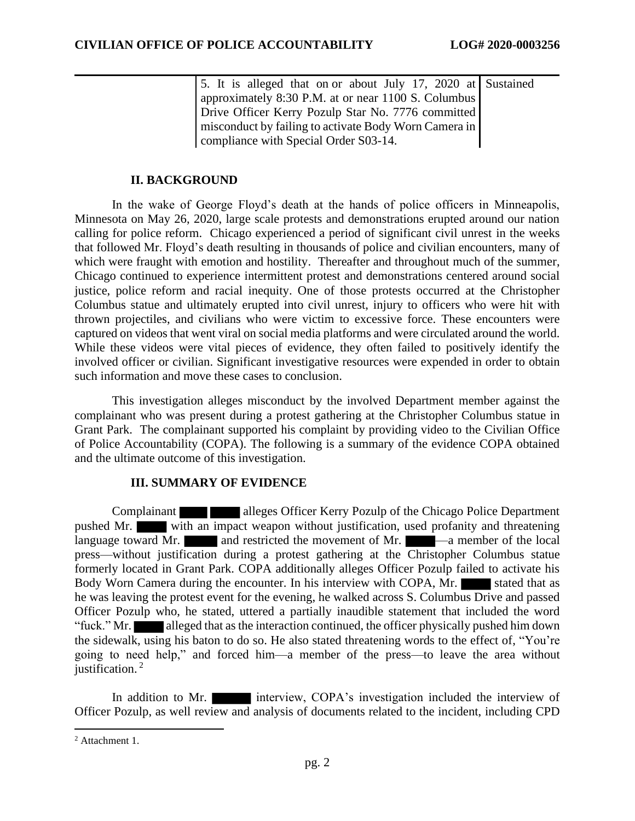5. It is alleged that on or about July 17, 2020 at Sustained approximately 8:30 P.M. at or near 1100 S. Columbus Drive Officer Kerry Pozulp Star No. 7776 committed misconduct by failing to activate Body Worn Camera in compliance with Special Order S03-14.

## **II. BACKGROUND**

In the wake of George Floyd's death at the hands of police officers in Minneapolis, Minnesota on May 26, 2020, large scale protests and demonstrations erupted around our nation calling for police reform. Chicago experienced a period of significant civil unrest in the weeks that followed Mr. Floyd's death resulting in thousands of police and civilian encounters, many of which were fraught with emotion and hostility. Thereafter and throughout much of the summer, Chicago continued to experience intermittent protest and demonstrations centered around social justice, police reform and racial inequity. One of those protests occurred at the Christopher Columbus statue and ultimately erupted into civil unrest, injury to officers who were hit with thrown projectiles, and civilians who were victim to excessive force. These encounters were captured on videos that went viral on social media platforms and were circulated around the world. While these videos were vital pieces of evidence, they often failed to positively identify the involved officer or civilian. Significant investigative resources were expended in order to obtain such information and move these cases to conclusion.

This investigation alleges misconduct by the involved Department member against the complainant who was present during a protest gathering at the Christopher Columbus statue in Grant Park. The complainant supported his complaint by providing video to the Civilian Office of Police Accountability (COPA). The following is a summary of the evidence COPA obtained and the ultimate outcome of this investigation.

#### **III. SUMMARY OF EVIDENCE**

Complainant alleges Officer Kerry Pozulp of the Chicago Police Department pushed Mr. with an impact weapon without justification, used profanity and threatening language toward Mr.  $\Box$  and restricted the movement of Mr.  $\Box$  —a member of the local press—without justification during a protest gathering at the Christopher Columbus statue formerly located in Grant Park. COPA additionally alleges Officer Pozulp failed to activate his Body Worn Camera during the encounter. In his interview with COPA, Mr. he was leaving the protest event for the evening, he walked across S. Columbus Drive and passed Officer Pozulp who, he stated, uttered a partially inaudible statement that included the word "fuck." Mr. alleged that as the interaction continued, the officer physically pushed him down the sidewalk, using his baton to do so. He also stated threatening words to the effect of, "You're going to need help," and forced him—a member of the press—to leave the area without justification.<sup>2</sup>

In addition to Mr. **interview, COPA**'s investigation included the interview of Officer Pozulp, as well review and analysis of documents related to the incident, including CPD

<sup>2</sup> Attachment 1.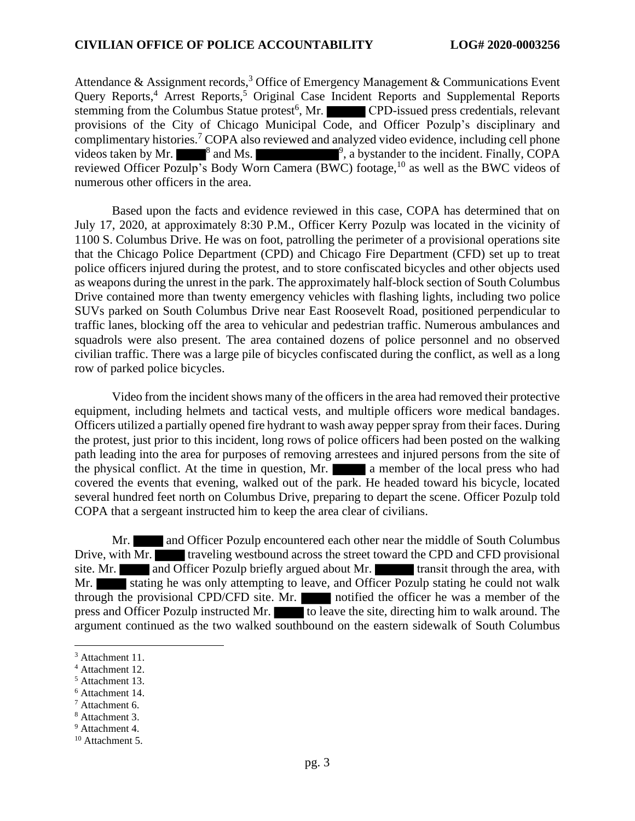Attendance & Assignment records,<sup>3</sup> Office of Emergency Management & Communications Event Query Reports,<sup>4</sup> Arrest Reports,<sup>5</sup> Original Case Incident Reports and Supplemental Reports stemming from the Columbus Statue protest<sup>6</sup>, Mr. CPD-issued press credentials, relevant provisions of the City of Chicago Municipal Code, and Officer Pozulp's disciplinary and complimentary histories. <sup>7</sup> COPA also reviewed and analyzed video evidence, including cell phone videos taken by Mr.  $\blacksquare^8$  and Ms.  $\blacksquare^9$ , a bystander to the incident. Finally, COPA reviewed Officer Pozulp's Body Worn Camera (BWC) footage,<sup>10</sup> as well as the BWC videos of numerous other officers in the area.

Based upon the facts and evidence reviewed in this case, COPA has determined that on July 17, 2020, at approximately 8:30 P.M., Officer Kerry Pozulp was located in the vicinity of 1100 S. Columbus Drive. He was on foot, patrolling the perimeter of a provisional operations site that the Chicago Police Department (CPD) and Chicago Fire Department (CFD) set up to treat police officers injured during the protest, and to store confiscated bicycles and other objects used as weapons during the unrest in the park. The approximately half-block section of South Columbus Drive contained more than twenty emergency vehicles with flashing lights, including two police SUVs parked on South Columbus Drive near East Roosevelt Road, positioned perpendicular to traffic lanes, blocking off the area to vehicular and pedestrian traffic. Numerous ambulances and squadrols were also present. The area contained dozens of police personnel and no observed civilian traffic. There was a large pile of bicycles confiscated during the conflict, as well as a long row of parked police bicycles.

Video from the incident shows many of the officers in the area had removed their protective equipment, including helmets and tactical vests, and multiple officers wore medical bandages. Officers utilized a partially opened fire hydrant to wash away pepper spray from their faces. During the protest, just prior to this incident, long rows of police officers had been posted on the walking path leading into the area for purposes of removing arrestees and injured persons from the site of the physical conflict. At the time in question, Mr. **a** member of the local press who had covered the events that evening, walked out of the park. He headed toward his bicycle, located several hundred feet north on Columbus Drive, preparing to depart the scene. Officer Pozulp told COPA that a sergeant instructed him to keep the area clear of civilians.

Mr. and Officer Pozulp encountered each other near the middle of South Columbus Drive, with Mr. **traveling westbound across the street toward the CPD and CFD provisional** site. Mr. **and Officer Pozulp briefly argued about Mr. transit through the area, with** Mr. Stating he was only attempting to leave, and Officer Pozulp stating he could not walk through the provisional CPD/CFD site. Mr. notified the officer he was a member of the press and Officer Pozulp instructed Mr. to leave the site, directing him to walk around. The argument continued as the two walked southbound on the eastern sidewalk of South Columbus

<sup>6</sup> Attachment 14.

<sup>&</sup>lt;sup>3</sup> Attachment 11.

<sup>4</sup> Attachment 12.

<sup>5</sup> Attachment 13.

<sup>7</sup> Attachment 6.

<sup>8</sup> Attachment 3.

<sup>9</sup> Attachment 4.

<sup>&</sup>lt;sup>10</sup> Attachment 5.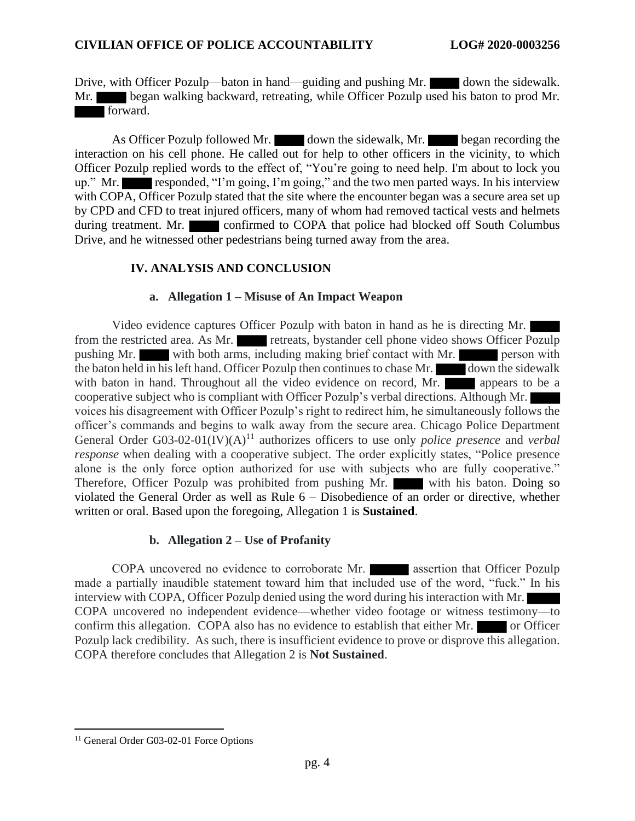Drive, with Officer Pozulp—baton in hand—guiding and pushing Mr. down the sidewalk. Mr. began walking backward, retreating, while Officer Pozulp used his baton to prod Mr. forward.

As Officer Pozulp followed Mr. down the sidewalk, Mr. began recording the interaction on his cell phone. He called out for help to other officers in the vicinity, to which Officer Pozulp replied words to the effect of, "You're going to need help. I'm about to lock you up." Mr. responded, "I'm going, I'm going," and the two men parted ways. In his interview with COPA, Officer Pozulp stated that the site where the encounter began was a secure area set up by CPD and CFD to treat injured officers, many of whom had removed tactical vests and helmets during treatment. Mr. confirmed to COPA that police had blocked off South Columbus Drive, and he witnessed other pedestrians being turned away from the area.

## **IV. ANALYSIS AND CONCLUSION**

## **a. Allegation 1 – Misuse of An Impact Weapon**

Video evidence captures Officer Pozulp with baton in hand as he is directing Mr. from the restricted area. As Mr. retreats, bystander cell phone video shows Officer Pozulp pushing Mr. with both arms, including making brief contact with Mr. person with the baton held in his left hand. Officer Pozulp then continues to chase Mr. down the sidewalk with baton in hand. Throughout all the video evidence on record, Mr. cooperative subject who is compliant with Officer Pozulp's verbal directions. Although Mr. voices his disagreement with Officer Pozulp's right to redirect him, he simultaneously follows the officer's commands and begins to walk away from the secure area. Chicago Police Department General Order G03-02-01(IV)(A)<sup>11</sup> authorizes officers to use only *police presence* and *verbal response* when dealing with a cooperative subject. The order explicitly states, "Police presence" alone is the only force option authorized for use with subjects who are fully cooperative." Therefore, Officer Pozulp was prohibited from pushing Mr. with his baton. Doing so violated the General Order as well as Rule 6 – Disobedience of an order or directive, whether written or oral. Based upon the foregoing, Allegation 1 is **Sustained**.

## **b. Allegation 2 – Use of Profanity**

COPA uncovered no evidence to corroborate Mr. **assertion** that Officer Pozulp made a partially inaudible statement toward him that included use of the word, "fuck." In his interview with COPA, Officer Pozulp denied using the word during his interaction with Mr. COPA uncovered no independent evidence—whether video footage or witness testimony—to confirm this allegation. COPA also has no evidence to establish that either Mr. or Officer Pozulp lack credibility. As such, there is insufficient evidence to prove or disprove this allegation. COPA therefore concludes that Allegation 2 is **Not Sustained**.

<sup>&</sup>lt;sup>11</sup> General Order G03-02-01 Force Options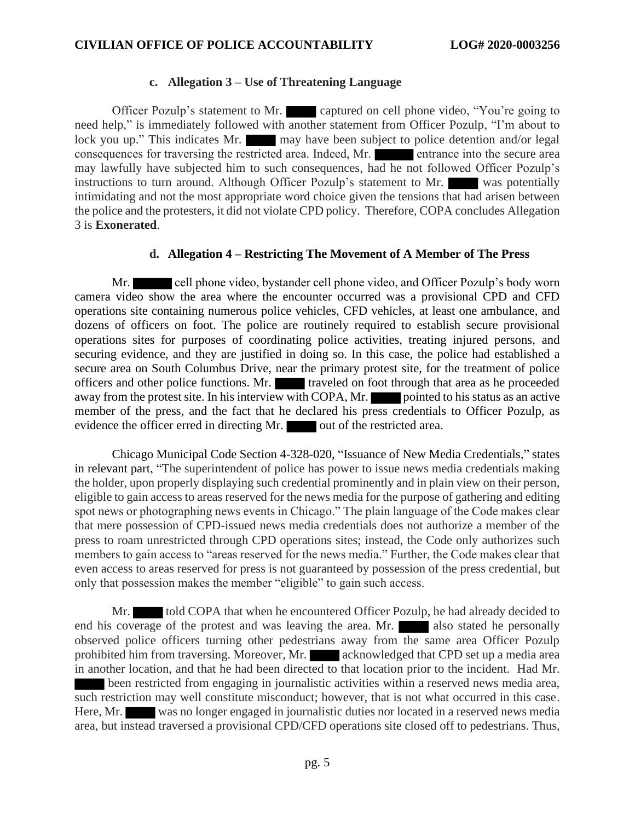#### **c. Allegation 3 – Use of Threatening Language**

Officer Pozulp's statement to Mr. captured on cell phone video, "You're going to need help," is immediately followed with another statement from Officer Pozulp, "I'm about to lock you up." This indicates Mr. may have been subject to police detention and/or legal consequences for traversing the restricted area. Indeed, Mr. entrance into the secure area may lawfully have subjected him to such consequences, had he not followed Officer Pozulp's instructions to turn around. Although Officer Pozulp's statement to Mr. was potentially intimidating and not the most appropriate word choice given the tensions that had arisen between the police and the protesters, it did not violate CPD policy. Therefore, COPA concludes Allegation 3 is **Exonerated**.

#### **d. Allegation 4 – Restricting The Movement of A Member of The Press**

Mr. cell phone video, bystander cell phone video, and Officer Pozulp's body worn camera video show the area where the encounter occurred was a provisional CPD and CFD operations site containing numerous police vehicles, CFD vehicles, at least one ambulance, and dozens of officers on foot. The police are routinely required to establish secure provisional operations sites for purposes of coordinating police activities, treating injured persons, and securing evidence, and they are justified in doing so. In this case, the police had established a secure area on South Columbus Drive, near the primary protest site, for the treatment of police officers and other police functions. Mr. traveled on foot through that area as he proceeded away from the protest site. In his interview with COPA, Mr. pointed to his status as an active member of the press, and the fact that he declared his press credentials to Officer Pozulp, as evidence the officer erred in directing Mr. out of the restricted area.

Chicago Municipal Code Section 4-328-020, "Issuance of New Media Credentials," states in relevant part, "The superintendent of police has power to issue news media credentials making the holder, upon properly displaying such credential prominently and in plain view on their person, eligible to gain access to areas reserved for the news media for the purpose of gathering and editing spot news or photographing news events in Chicago." The plain language of the Code makes clear that mere possession of CPD-issued news media credentials does not authorize a member of the press to roam unrestricted through CPD operations sites; instead, the Code only authorizes such members to gain access to "areas reserved for the news media." Further, the Code makes clear that even access to areas reserved for press is not guaranteed by possession of the press credential, but only that possession makes the member "eligible" to gain such access.

Mr. told COPA that when he encountered Officer Pozulp, he had already decided to end his coverage of the protest and was leaving the area. Mr. also stated he personally observed police officers turning other pedestrians away from the same area Officer Pozulp prohibited him from traversing. Moreover, Mr. acknowledged that CPD set up a media area in another location, and that he had been directed to that location prior to the incident. Had Mr. been restricted from engaging in journalistic activities within a reserved news media area, such restriction may well constitute misconduct; however, that is not what occurred in this case. Here, Mr. was no longer engaged in journalistic duties nor located in a reserved news media area, but instead traversed a provisional CPD/CFD operations site closed off to pedestrians. Thus,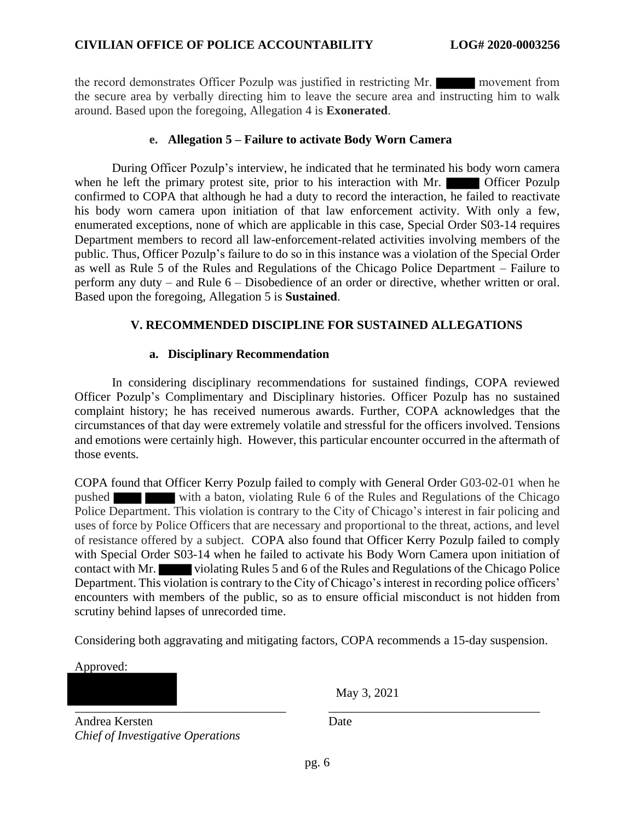the record demonstrates Officer Pozulp was justified in restricting Mr. movement from the secure area by verbally directing him to leave the secure area and instructing him to walk around. Based upon the foregoing, Allegation 4 is **Exonerated**.

## **e. Allegation 5 – Failure to activate Body Worn Camera**

During Officer Pozulp's interview, he indicated that he terminated his body worn camera when he left the primary protest site, prior to his interaction with Mr. Officer Pozulp confirmed to COPA that although he had a duty to record the interaction, he failed to reactivate his body worn camera upon initiation of that law enforcement activity. With only a few, enumerated exceptions, none of which are applicable in this case, Special Order S03-14 requires Department members to record all law-enforcement-related activities involving members of the public. Thus, Officer Pozulp's failure to do so in this instance was a violation of the Special Order as well as Rule 5 of the Rules and Regulations of the Chicago Police Department – Failure to perform any duty – and Rule 6 – Disobedience of an order or directive, whether written or oral. Based upon the foregoing, Allegation 5 is **Sustained**.

## **V. RECOMMENDED DISCIPLINE FOR SUSTAINED ALLEGATIONS**

## **a. Disciplinary Recommendation**

In considering disciplinary recommendations for sustained findings, COPA reviewed Officer Pozulp's Complimentary and Disciplinary histories. Officer Pozulp has no sustained complaint history; he has received numerous awards. Further, COPA acknowledges that the circumstances of that day were extremely volatile and stressful for the officers involved. Tensions and emotions were certainly high. However, this particular encounter occurred in the aftermath of those events.

COPA found that Officer Kerry Pozulp failed to comply with General Order G03-02-01 when he pushed with a baton, violating Rule 6 of the Rules and Regulations of the Chicago Police Department. This violation is contrary to the City of Chicago's interest in fair policing and uses of force by Police Officers that are necessary and proportional to the threat, actions, and level of resistance offered by a subject. COPA also found that Officer Kerry Pozulp failed to comply with Special Order S03-14 when he failed to activate his Body Worn Camera upon initiation of contact with Mr. violating Rules 5 and 6 of the Rules and Regulations of the Chicago Police Department. This violation is contrary to the City of Chicago's interest in recording police officers' encounters with members of the public, so as to ensure official misconduct is not hidden from scrutiny behind lapses of unrecorded time.

Considering both aggravating and mitigating factors, COPA recommends a 15-day suspension.

\_\_\_\_\_\_\_\_\_\_\_\_\_\_\_\_\_\_\_\_\_\_\_\_\_\_\_\_\_\_\_\_\_\_ \_\_\_\_\_\_\_\_\_\_\_\_\_\_\_\_\_\_\_\_\_\_\_\_\_\_\_\_\_\_\_\_\_\_

Approved:

May 3, 2021

Andrea Kersten *Chief of Investigative Operations* Date

pg. 6